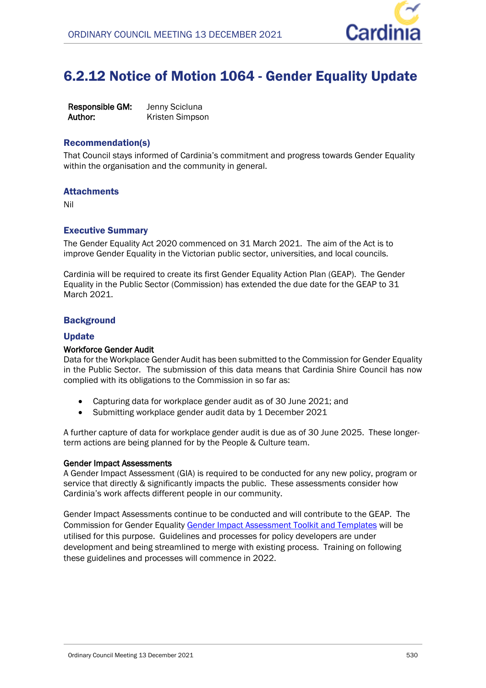

# 6.2.12 Notice of Motion 1064 - Gender Equality Update

**Responsible GM:** Jenny Scicluna **Author:** Kristen Simpson

# Recommendation(s)

That Council stays informed of Cardinia's commitment and progress towards Gender Equality within the organisation and the community in general.

# **Attachments**

Nil

# Executive Summary

The Gender Equality Act 2020 commenced on 31 March 2021. The aim of the Act is to improve Gender Equality in the Victorian public sector, universities, and local councils.

Cardinia will be required to create its first Gender Equality Action Plan (GEAP). The Gender Equality in the Public Sector (Commission) has extended the due date for the GEAP to 31 March 2021.

#### **Background**

#### Update

#### **Workforce Gender Audit**

Data for the Workplace Gender Audit has been submitted to the Commission for Gender Equality in the Public Sector. The submission of this data means that Cardinia Shire Council has now complied with its obligations to the Commission in so far as:

- Capturing data for workplace gender audit as of 30 June 2021; and
- Submitting workplace gender audit data by 1 December 2021

A further capture of data for workplace gender audit is due as of 30 June 2025. These longerterm actions are being planned for by the People & Culture team.

#### **Gender Impact Assessments**

A Gender Impact Assessment (GIA) is required to be conducted for any new policy, program or service that directly & significantly impacts the public. These assessments consider how Cardinia's work affects different people in our community.

Gender Impact Assessments continue to be conducted and will contribute to the GEAP. The Commission for Gender Equality [Gender Impact Assessment Toolkit and Templates](https://www.genderequalitycommission.vic.gov.au/sites/default/files/2021-02/DPC%202011%20CGEPS_GIA-Toolkit_FA-Web_0%20(4).pdf) will be utilised for this purpose. Guidelines and processes for policy developers are under development and being streamlined to merge with existing process. Training on following these guidelines and processes will commence in 2022.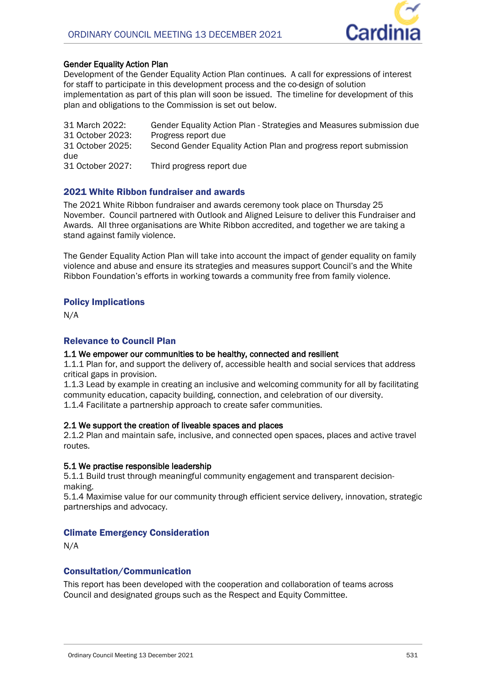

# **Gender Equality Action Plan**

Development of the Gender Equality Action Plan continues. A call for expressions of interest for staff to participate in this development process and the co-design of solution implementation as part of this plan will soon be issued. The timeline for development of this plan and obligations to the Commission is set out below.

| 31 March 2022:          | Gender Equality Action Plan - Strategies and Measures submission due |
|-------------------------|----------------------------------------------------------------------|
| 31 October 2023:        | Progress report due                                                  |
| 31 October 2025:<br>due | Second Gender Equality Action Plan and progress report submission    |
| 31 October 2027:        | Third progress report due                                            |

# 2021 White Ribbon fundraiser and awards

The 2021 White Ribbon fundraiser and awards ceremony took place on Thursday 25 November. Council partnered with Outlook and Aligned Leisure to deliver this Fundraiser and Awards. All three organisations are White Ribbon accredited, and together we are taking a stand against family violence.

The Gender Equality Action Plan will take into account the impact of gender equality on family violence and abuse and ensure its strategies and measures support Council's and the White Ribbon Foundation's efforts in working towards a community free from family violence.

# Policy Implications

N/A

# Relevance to Council Plan

# **1.1 We empower our communities to be healthy, connected and resilient**

1.1.1 Plan for, and support the delivery of, accessible health and social services that address critical gaps in provision.

1.1.3 Lead by example in creating an inclusive and welcoming community for all by facilitating community education, capacity building, connection, and celebration of our diversity.

1.1.4 Facilitate a partnership approach to create safer communities.

# **2.1 We support the creation of liveable spaces and places**

2.1.2 Plan and maintain safe, inclusive, and connected open spaces, places and active travel routes.

# **5.1 We practise responsible leadership**

5.1.1 Build trust through meaningful community engagement and transparent decisionmaking.

5.1.4 Maximise value for our community through efficient service delivery, innovation, strategic partnerships and advocacy.

# Climate Emergency Consideration

N/A

# Consultation/Communication

This report has been developed with the cooperation and collaboration of teams across Council and designated groups such as the Respect and Equity Committee.